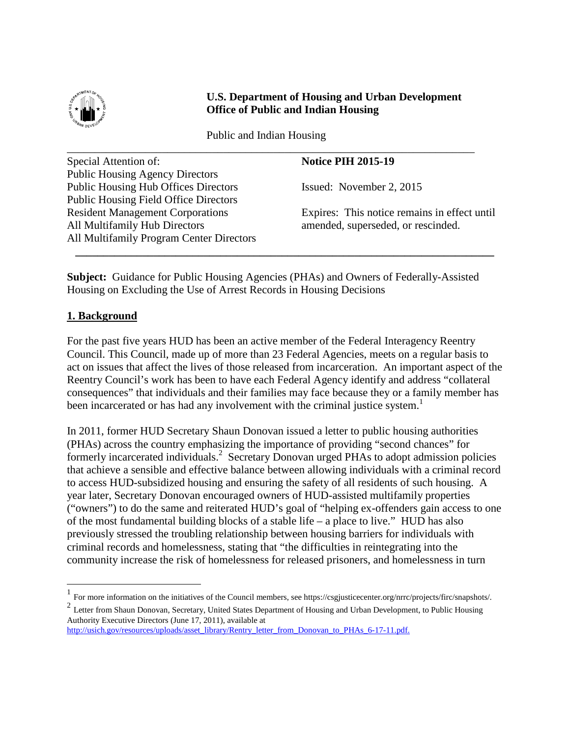

## **U.S. Department of Housing and Urban Development U.S. Department of Housing and Urban Development Office of Public and Indian Housing Office of Public and Indian Housing**

Public and Indian Housing Public and Indian Housing

| Special Attention of:                           | <b>Notice PIH 2015-19</b>                    |
|-------------------------------------------------|----------------------------------------------|
| <b>Public Housing Agency Directors</b>          |                                              |
| <b>Public Housing Hub Offices Directors</b>     | Issued: November 2, 2015                     |
| <b>Public Housing Field Office Directors</b>    |                                              |
| <b>Resident Management Corporations</b>         | Expires: This notice remains in effect until |
| All Multifamily Hub Directors                   | amended, superseded, or rescinded.           |
| <b>All Multifamily Program Center Directors</b> |                                              |

**Subject:** Guidance for Public Housing Agencies (PHAs) and Owners of Federally-Assisted **Subject:** Guidance for Public Housing Agencies (PHAs) and Owners of Federally-Assisted Housing on Excluding the Use of Arrest Records in Housing Decisions

## **1. Background 1. Background**

For the past five years HUD has been an active member of the Federal Interagency Reentry For the past five years HUD has been an active member of the Federal Interagency Reentry Council. This Council, made up of more than 23 Federal Agencies, meets on a regular basis to Council. This Council, made up of more than 23 Federal Agencies, meets on a regular basis to act on issues that affect the lives of those released from incarceration. An important aspect of the act on issues that affect the lives of those released from incarceration. An important aspect of the Reentry Council's work has been to have each Federal Agency identify and address "collateral Reentry Council's work has been to have each Federal Agency identify and address "collateral consequences" that individuals and their families may face because they or a family member has consequences" that individuals and their families may face because they or a family member has been incarcerated or has had any involvement with the criminal justice system.<sup>1</sup>

In 2011, former HUD Secretary Shaun Donovan issued a letter to public housing authorities In 2011, former HUD Secretary Shaun Donovan issued a letter to public housing authorities (PHAs) across the country emphasizing the importance of providing "second chances" for (PHAs) across the country emphasizing the importance of providing "second chances" for formerly incarcerated individuals.<sup>2</sup> Secretary Donovan urged PHAs to adopt admission policies that achieve a sensible and effective balance between allowing individuals with a criminal record that achieve a sensible and effective balance between allowing individuals with a criminal record to access HUD-subsidized housing and ensuring the safety of all residents of such housing. A to access HUD-subsidized housing and ensuring the safety of all residents of such housing. A year later, Secretary Donovan encouraged owners of HUD-assisted multifamily properties year later, Secretary Donovan encouraged owners of HUD-assisted multifamily properties ("owners") to do the same and reiterated HUD's goal of "helping ex-offenders gain access to one ("owners") to do the same and reiterated HUD's goal of "helping ex-offenders gain access to one of the most fundamental building blocks of a stable life – a place to live." HUD has also previously stressed the troubling relationship between housing barriers for individuals with previously stressed the troubling relationship between housing barriers for individuals with criminal records and homelessness, stating that "the difficulties in reintegrating into the criminal records and homelessness, stating that "the difficulties in reintegrating into the community increase the risk of homelessness for released prisoners, and homelessness in turn community increase the risk of homelessness for released prisoners, and homelessness in turn

<span id="page-0-0"></span> $1$  For more information on the initiatives of the Council members, see https://csgjusticecenter.org/nrrc/projects/firc/snapshots/. 1

<span id="page-0-1"></span><sup>&</sup>lt;sup>2</sup> Letter from Shaun Donovan, Secretary, United States Department of Housing and Urban Development, to Public Housing Authority Executive Directors (June 17, 2011), available at Authority Executive Directors (June 17, 2011), available at

http://usich.gov/resources/uploads/asset\_library/Rentry\_letter\_from\_Donovan\_to\_PHAs\_6-17-11.pdf.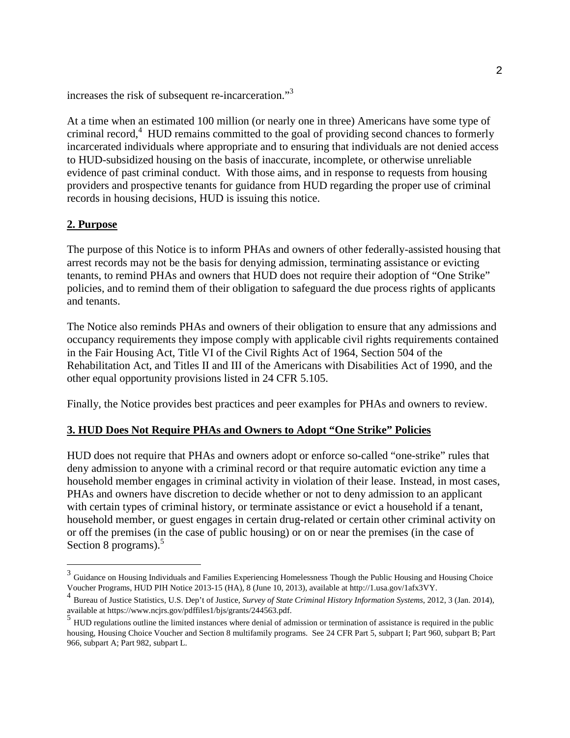increases the risk of subsequent re-incarceration."3 increases the risk of subsequent re-incarceration."[3](#page-1-0)

At a time when an estimated 100 million (or nearly one in three) Americans have some type of At a time when an estimated 100 million (or nearly one in three) Americans have some type of criminal record,<sup>[4](#page-1-1)</sup> HUD remains committed to the goal of providing second chances to formerly incarcerated individuals where appropriate and to ensuring that individuals are not denied access incarcerated individuals where appropriate and to ensuring that individuals are not denied access to HUD-subsidized housing on the basis of inaccurate, incomplete, or otherwise unreliable to HUD-subsidized housing on the basis of inaccurate, incomplete, or otherwise unreliable evidence of past criminal conduct. With those aims, and in response to requests from housing evidence of past criminal conduct. With those aims, and in response to requests from housing providers and prospective tenants for guidance from HUD regarding the proper use of criminal providers and prospective tenants for guidance from HUD regarding the proper use of criminal records in housing decisions, HUD is issuing this notice.

#### **2. Purpose 2. Purpose**

The purpose of this Notice is to inform PHAs and owners of other federally-assisted housing that The purpose of this Notice is to inform PHAs and owners of other federally-assisted housing that arrest records may not be the basis for denying admission, terminating assistance or evicting arrest records may not be the basis for denying admission, terminating assistance or evicting tenants, to remind PHAs and owners that HUD does not require their adoption of "One Strike" tenants, to remind PHAs and owners that HUD does not require their adoption of "One Strike" policies, and to remind them of their obligation to safeguard the due process rights of applicants policies, and to remind them of their obligation to safeguard the due process rights of applicants and tenants. and tenants.

The Notice also reminds PHAs and owners of their obligation to ensure that any admissions and The Notice also reminds PHAs and owners of their obligation to ensure that any admissions and occupancy requirements they impose comply with applicable civil rights requirements contained occupancy requirements they impose comply with applicable civil rights requirements contained in the Fair Housing Act, Title VI of the Civil Rights Act of 1964, Section 504 of the in the Fair Housing Act, Title VI of the Civil Rights Act of 1964, Section 504 of the Rehabilitation Act, and Titles II and III of the Americans with Disabilities Act of 1990, and the Rehabilitation Act, and Titles II and III of the Americans with Disabilities Act of 1990, and the other equal opportunity provisions listed in 24 CFR 5.105. other equal opportunity provisions listed in 24 CFR 5.105.

Finally, the Notice provides best practices and peer examples for PHAs and owners to review. Finally, the Notice provides best practices and peer examples for PHAs and owners to review.

### **3. HUD Does Not Require PHAs and Owners to Adopt "One Strike" Policies 3. HUD Does Not Require PHAs and Owners to Adopt "One Strike" Policies**

HUD does not require that PHAs and owners adopt or enforce so-called "one-strike" rules that HUD does not require that PHAs and owners adopt or enforce so-called "one-strike" rules that deny admission to anyone with a criminal record or that require automatic eviction any time a deny admission to anyone with a criminal record or that require automatic eviction any time a household member engages in criminal activity in violation of their lease. Instead, in most cases, household member engages in criminal activity in violation of their lease. Instead, in most cases, PHAs and owners have discretion to decide whether or not to deny admission to an applicant PHAs and owners have discretion to decide whether or not to deny admission to an applicant with certain types of criminal history, or terminate assistance or evict a household if a tenant, with certain types of criminal history, or terminate assistance or evict a household if a tenant, household member, or guest engages in certain drug-related or certain other criminal activity on household member, or guest engages in certain drug-related or certain other criminal activity on or off the premises (in the case of public housing) or on or near the premises (in the case of or off the premises (in the case of public housing) or on or near the premises (in the case of Section 8 programs). $5$ 

<span id="page-1-0"></span> $3$  Guidance on Housing Individuals and Families Experiencing Homelessness Though the Public Housing and Housing Choice Voucher Programs, HUD PIH Notice 2013-15 (HA), 8 (June 10, 2013), available at http://1.usa.govilafx3VY. Voucher Programs, HUD PIH Notice 2013-15 (HA), 8 (June 10, 2013), available at http://1.usa.gov/1afx3VY.

<span id="page-1-1"></span><sup>&</sup>lt;sup>4</sup> Bureau of Justice Statistics, U.S. Dep't of Justice, Survey of State Criminal History Information Systems, 2012, 3 (Jan. 2014), available at https://www.ncjrs.gov/pdffiles1 /bj s/grants/244563 .pdf. available at https://www.ncjrs.gov/pdffiles1/bjs/grants/244563.pdf.

<span id="page-1-2"></span><sup>&</sup>lt;sup>5</sup> HUD regulations outline the limited instances where denial of admission or termination of assistance is required in the public housing, Housing Choice Voucher and Section 8 multifamily programs. See 24 CFR Part 5, subpart I; Part 960, subpart B; Part 966, subpart A; Part 982, subpart L. 966, subpart A; Part 982, subpart L.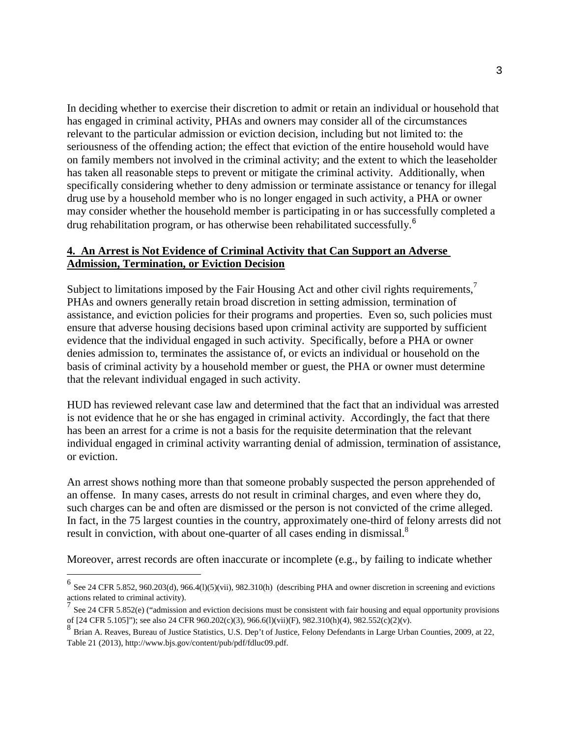In deciding whether to exercise their discretion to admit or retain an individual or household that In deciding whether to exercise their discretion to admit or retain an individual or household that has engaged in criminal activity, PHAs and owners may consider all of the circumstances has engaged in criminal activity, PHAs and owners may consider all of the circumstances relevant to the particular admission or eviction decision, including but not limited to: the relevant to the particular admission or eviction decision, including but not limited to: the seriousness of the offending action; the effect that eviction of the entire household would have seriousness of the offending action; the effect that eviction of the entire household would have on family members not involved in the criminal activity; and the extent to which the leaseholder has taken all reasonable steps to prevent or mitigate the criminal activity. Additionally, when has taken all reasonable steps to prevent or mitigate the criminal activity. Additionally, when specifically considering whether to deny admission or terminate assistance or tenancy for illegal specifically considering whether to deny admission or terminate assistance or tenancy for illegal drug use by a household member who is no longer engaged in such activity, a PHA or owner drug use by a household member who is no longer engaged in such activity, a PHA or owner may consider whether the household member is participating in or has successfully completed a may consider whether the household member is participating in or has successfully completed a drug rehabilitation program, or has otherwise been rehabilitated successfully.<sup>6</sup>

### **4. An Arrest is Not Evidence of Criminal Activity that Can Support an Adverse 4. An Arrest is Not Evidence of Criminal Activity that Can Support an Adverse Admission, Termination, or Eviction Decision Admission, Termination, or Eviction Decision**

Subject to limitations imposed by the Fair Housing Act and other civil rights requirements,<sup>[7](#page-2-1)</sup> PHAs and owners generally retain broad discretion in setting admission, termination of PHAs and owners generally retain broad discretion in setting admission, termination of assistance, and eviction policies for their programs and properties. Even so, such policies must assistance, and eviction policies for their programs and properties. Even so, such policies must ensure that adverse housing decisions based upon criminal activity are supported by sufficient ensure that adverse housing decisions based upon criminal activity are supported by sufficient evidence that the individual engaged in such activity. Specifically, before a PHA or owner evidence that the individual engaged in such activity. Specifically, before a PHA or owner denies admission to, terminates the assistance of, or evicts an individual or household on the denies admission to, terminates the assistance of, or evicts an individual or household on the basis of criminal activity by a household member or guest, the PHA or owner must determine basis of criminal activity by a household member or guest, the PHA or owner must determine that the relevant individual engaged in such activity. that the relevant individual engaged in such activity.

HUD has reviewed relevant case law and determined that the fact that an individual was arrested HUD has reviewed relevant case law and determined that the fact that an individual was arrested is not evidence that he or she has engaged in criminal activity. Accordingly, the fact that there has been an arrest for a crime is not a basis for the requisite determination that the relevant has been an arrest for a crime is not a basis for the requisite determination that the relevant individual engaged in criminal activity warranting denial of admission, termination of assistance, individual engaged in criminal activity warranting denial of admission, termination of assistance, or eviction. or eviction.

An arrest shows nothing more than that someone probably suspected the person apprehended of An arrest shows nothing more than that someone probably suspected the person apprehended of an offense. In many cases, arrests do not result in criminal charges, and even where they do, an offense. In many cases, arrests do not result in criminal charges, and even where they do, such charges can be and often are dismissed or the person is not convicted of the crime alleged. such charges can be and often are dismissed or the person is not convicted of the crime alleged. In fact, in the 75 largest counties in the country, approximately one-third of felony arrests did not In fact, in the 75 largest counties in the country, approximately one-third of felony arrests did not result in conviction, with about one-quarter of all cases ending in dismissal.<sup>8</sup>

Moreover, arrest records are often inaccurate or incomplete (e.g., by failing to indicate whether Moreover, arrest records are often inaccurate or incomplete (e.g., by failing to indicate whether

<span id="page-2-0"></span> $6$  See 24 CFR 5.852, 960.203(d), 966.4(l)(5)(vii), 982.310(h) (describing PHA and owner discretion in screening and evictions actions related to criminal activity). actions related to criminal activity).

<span id="page-2-1"></span>See 24 CFR 5.852(e) ("admission and eviction decisions must be consistent with fair housing and equal opportunity provisions of [24 CFR 5.105]"); see also 24 CFR 960.202(c)(3), 966.6(1)(vii)(F), 982.310(h)(4), 982.552(c)(2)(v). of [24 CFR 5.105]"); see also 24 CFR 960.202(c)(3), 966.6(l)(vii)(F), 982.310(h)(4), 982.552(c)(2)(v). 7

<span id="page-2-2"></span><sup>8&</sup>lt;br>Brian A. Reaves, Bureau of Justice Statistics, U.S. Dep't of Justice, Felony Defendants in Large Urban Counties, 2009, at 22, Table 21 (2013), http://www.bjs.gov/content/pub/pdf/fdluc09.pdf.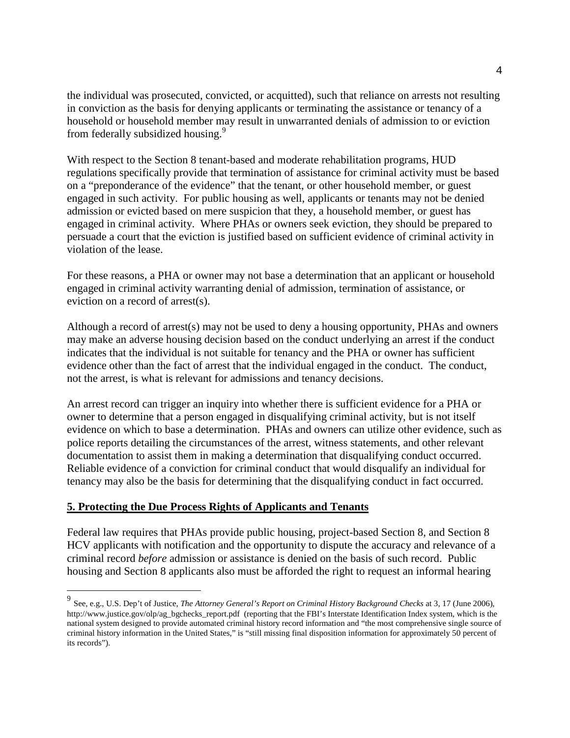the individual was prosecuted, convicted, or acquitted), such that reliance on arrests not resulting the individual was prosecuted, convicted, or acquitted), such that reliance on arrests not resulting in conviction as the basis for denying applicants or terminating the assistance or tenancy of a in conviction as the basis for denying applicants or terminating the assistance or tenancy of a household or household member may result in unwarranted denials of admission to or eviction household or household member may result in unwarranted denials of admission to or eviction from federally subsidized housing.<sup>9</sup>

With respect to the Section 8 tenant-based and moderate rehabilitation programs, HUD With respect to the Section 8 tenant-based and moderate rehabilitation programs, HUD regulations specifically provide that termination of assistance for criminal activity must be based on a "preponderance of the evidence" that the tenant, or other household member, or guest engaged in such activity. For public housing as well, applicants or tenants may not be denied admission or evicted based on mere suspicion that they, a household member, or guest has admission or evicted based on mere suspicion that they, a household member, or guest has engaged in criminal activity. Where PHAs or owners seek eviction, they should be prepared to engaged in criminal activity. Where PHAs or owners seek eviction, they should be prepared to persuade a court that the eviction is justified based on sufficient evidence of criminal activity in persuade a court that the eviction is justified based on sufficient evidence of criminal activity in violation of the lease. violation of the lease.

For these reasons, a PHA or owner may not base a determination that an applicant or household For these reasons, a PHA or owner may not base a determination that an applicant or household engaged in criminal activity warranting denial of admission, termination of assistance, or engaged in criminal activity warranting denial of admission, termination of assistance, or eviction on a record of arrest(s). eviction on a record of arrest(s).

Although a record of arrest(s) may not be used to deny a housing opportunity, PHAs and owners Although a record of arrest(s) may not be used to deny a housing opportunity, PHAs and owners may make an adverse housing decision based on the conduct underlying an arrest if the conduct may make an adverse housing decision based on the conduct underlying an arrest if the conduct indicates that the individual is not suitable for tenancy and the PHA or owner has sufficient indicates that the individual is not suitable for tenancy and the PHA or owner has sufficient evidence other than the fact of arrest that the individual engaged in the conduct. The conduct, evidence other than the fact of arrest that the individual engaged in the conduct. The conduct, not the arrest, is what is relevant for admissions and tenancy decisions. not the arrest, is what is relevant for admissions and tenancy decisions.

An arrest record can trigger an inquiry into whether there is sufficient evidence for a PHA or An arrest record can trigger an inquiry into whether there is sufficient evidence for a PHA or owner to determine that a person engaged in disqualifying criminal activity, but is not itself evidence on which to base a determination. PHAs and owners can utilize other evidence, such as evidence on which to base a determination. PHAs and owners can utilize other evidence, such as police reports detailing the circumstances of the arrest, witness statements, and other relevant police reports detailing the circumstances of the arrest, witness statements, and other relevant documentation to assist them in making a determination that disqualifying conduct occurred. documentation to assist them in making a determination that disqualifying conduct occurred. Reliable evidence of a conviction for criminal conduct that would disqualify an individual for Reliable evidence of a conviction for criminal conduct that would disqualify an individual for tenancy may also be the basis for determining that the disqualifying conduct in fact occurred. tenancy may also be the basis for determining that the disqualifying conduct in fact occurred.

#### **5. Protecting the Due Process Rights of Applicants and Tenants 5. Protecting the Due Process Rights of Applicants and Tenants**

Federal law requires that PHAs provide public housing, project-based Section 8, and Section 8 Federal law requires that PHAs provide public housing, project-based Section 8, and Section 8 HCV applicants with notification and the opportunity to dispute the accuracy and relevance of a HCV applicants with notification and the opportunity to dispute the accuracy and relevance of a criminal record *before* admission or assistance is denied on the basis of such record. Public criminal record *before* admission or assistance is denied on the basis of such record. Public housing and Section 8 applicants also must be afforded the right to request an informal hearing housing and Section 8 applicants also must be afforded the right to request an informal hearing

<span id="page-3-0"></span><sup>9&</sup>lt;br>See, e.g., U.S. Dep't of Justice, The Attorney General's Report on Criminal History Background Checks at 3, 17 (June 2006), http://www.justice.gov/olp/ag\_bgchecks\_report.pdf (reporting that the FBI's Interstate Identification Index system, which is the national system designed to provide automated criminal history record information and "the most comprehensive single source of criminal history information in the United States," is "still missing final disposition information for approximately 50 percent of its records"). its records").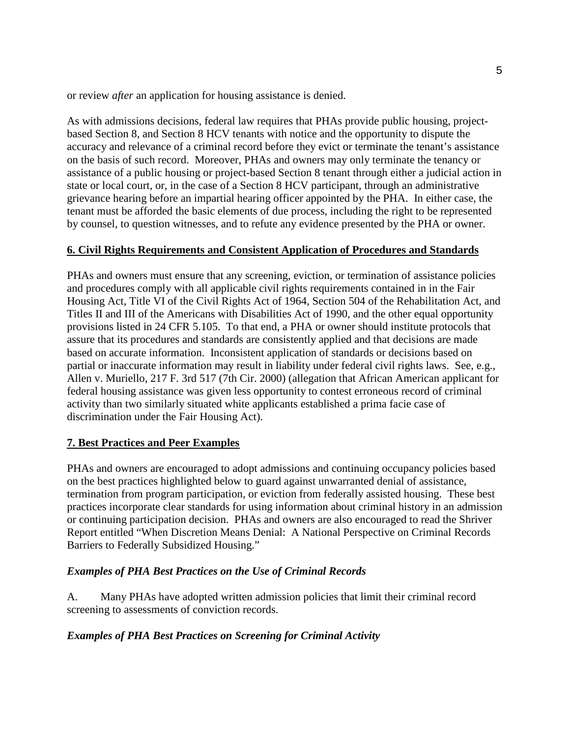or review *after* an application for housing assistance is denied. or review *after* an application for housing assistance is denied.

As with admissions decisions, federal law requires that PHAs provide public housing, project-As with admissions decisions, federal law requires that PHAs provide public housing, projectbased Section 8, and Section 8 HCV tenants with notice and the opportunity to dispute the based Section 8, and Section 8 HCV tenants with notice and the opportunity to dispute the accuracy and relevance of a criminal record before they evict or terminate the tenant's assistance accuracy and relevance of a criminal record before they evict or terminate the tenant's assistance on the basis of such record. Moreover, PHAs and owners may only terminate the tenancy or assistance of a public housing or project-based Section 8 tenant through either a judicial action in assistance of a public housing or project-based Section 8 tenant through either a judicial action in state or local court, or, in the case of a Section 8 HCV participant, through an administrative state or local court, or, in the case of a Section 8 HCV participant, through an administrative grievance hearing before an impartial hearing officer appointed by the PHA. In either case, the grievance hearing before an impartial hearing officer appointed by the PHA. In either case, the tenant must be afforded the basic elements of due process, including the right to be represented tenant must be afforded the basic elements of due process, including the right to be represented by counsel, to question witnesses, and to refute any evidence presented by the PHA or owner. by counsel, to question witnesses, and to refute any evidence presented by the PHA or owner.

## **6. Civil Rights Requirements and Consistent Application of Procedures and Standards 6. Civil Rights Requirements and Consistent Application of Procedures and Standards**

PHAs and owners must ensure that any screening, eviction, or termination of assistance policies PHAs and owners must ensure that any screening, eviction, or termination of assistance policies and procedures comply with all applicable civil rights requirements contained in in the Fair and procedures comply with all applicable civil rights requirements contained in in the Fair Housing Act, Title VI of the Civil Rights Act of 1964, Section 504 of the Rehabilitation Act, and Housing Act, Title VI of the Civil Rights Act of 1964, Section 504 of the Rehabilitation Act, and Titles II and III of the Americans with Disabilities Act of 1990, and the other equal opportunity Titles II and III of the Americans with Disabilities Act of 1990, and the other equal opportunity provisions listed in 24 CFR 5.105. To that end, a PHA or owner should institute protocols that provisions listed in 24 CFR 5.105. To that end, a PHA or owner should institute protocols that assure that its procedures and standards are consistently applied and that decisions are made assure that its procedures and standards are consistently applied and that decisions are made based on accurate information. Inconsistent application of standards or decisions based on based on accurate information. Inconsistent application of standards or decisions based on partial or inaccurate information may result in liability under federal civil rights laws. See, e.g., partial or inaccurate information may result in liability under federal civil rights laws. See, e.g., Allen v. Muriello, 217 F. 3rd 517 (7th Cir. 2000) (allegation that African American applicant for Allen v. Muriello, 217 F. 3rd 517 (7th Cir. 2000) (allegation that African American applicant for federal housing assistance was given less opportunity to contest erroneous record of criminal federal housing assistance was given less opportunity to contest erroneous record of criminal activity than two similarly situated white applicants established a prima facie case of activity than two similarly situated white applicants established a prima facie case of discrimination under the Fair Housing Act). discrimination under the Fair Housing Act).

## **7. Best Practices and Peer Examples 7. Best Practices and Peer Examples**

PHAs and owners are encouraged to adopt admissions and continuing occupancy policies based PHAs and owners are encouraged to adopt admissions and continuing occupancy policies based on the best practices highlighted below to guard against unwarranted denial of assistance, termination from program participation, or eviction from federally assisted housing. These best termination from program participation, or eviction from federally assisted housing. These best practices incorporate clear standards for using information about criminal history in an admission practices incorporate clear standards for using information about criminal history in an admission or continuing participation decision. PHAs and owners are also encouraged to read the Shriver Report entitled "When Discretion Means Denial: A National Perspective on Criminal Records Report entitled "When Discretion Means Denial: A National Perspective on Criminal Records Barriers to Federally Subsidized Housing." Barriers to Federally Subsidized Housing."

### *Examples of PHA Best Practices on the Use of Criminal Records Examples of PHA Best Practices on the Use of Criminal Records*

A. Many PHAs have adopted written admission policies that limit their criminal record A. Many PHAs have adopted written admission policies that limit their criminal record screening to assessments of conviction records. screening to assessments of conviction records.

### *Examples of PHA Best Practices on Screening for Criminal Activity Examples of PHA Best Practices on Screening for Criminal Activity*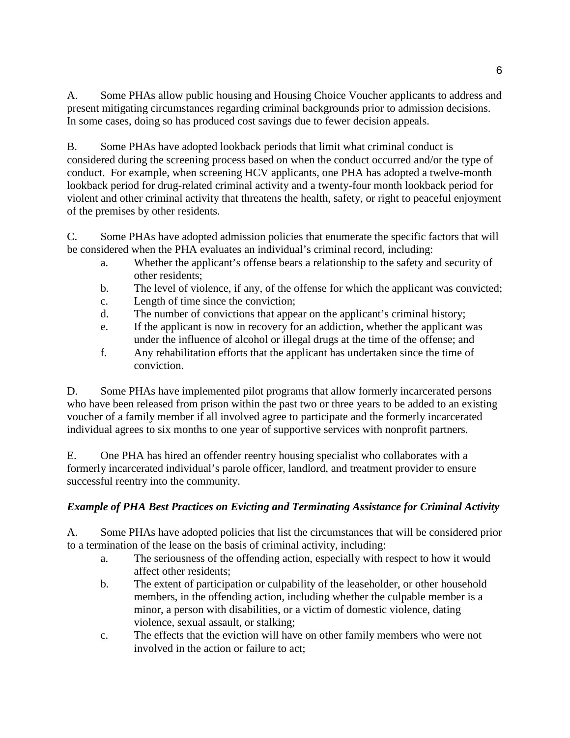A. Some PHAs allow public housing and Housing Choice Voucher applicants to address and A. Some PHAs allow public housing and Housing Choice Voucher applicants to address and present mitigating circumstances regarding criminal backgrounds prior to admission decisions. present mitigating circumstances regarding criminal backgrounds prior to admission decisions. In some cases, doing so has produced cost savings due to fewer decision appeals. In some cases, doing so has produced cost savings due to fewer decision appeals.

B. Some PHAs have adopted lookback periods that limit what criminal conduct is considered during the screening process based on when the conduct occurred and/or the type of considered during the screening process based on when the conduct occurred and/or the type of conduct. For example, when screening HCV applicants, one PHA has adopted a twelve-month lookback period for drug-related criminal activity and a twenty-four month lookback period for lookback period for drug-related criminal activity and a twenty-four month lookback period for violent and other criminal activity that threatens the health, safety, or right to peaceful enjoyment violent and other criminal activity that threatens the health, safety, or right to peaceful enjoyment of the premises by other residents. of the premises by other residents.

C. Some PHAs have adopted admission policies that enumerate the specific factors that will C. Some PHAs have adopted admission policies that enumerate the specific factors that will be considered when the PHA evaluates an individual's criminal record, including: be considered when the PHA evaluates an individual's criminal record, including:

- a. Whether the applicant's offense bears a relationship to the safety and security of a. Whether the applicant's offense bears a relationship to the safety and security of other residents; other residents;
- b. The level of violence, if any, of the offense for which the applicant was convicted; b. The level of violence, if any, of the offense for which the applicant was convicted;
- c. Length of time since the conviction; c. Length of time since the conviction;
- d. The number of convictions that appear on the applicant's criminal history; d. The number of convictions that appear on the applicant's criminal history;
- e. If the applicant is now in recovery for an addiction, whether the applicant was e. If the applicant is now in recovery for an addiction, whether the applicant was under the influence of alcohol or illegal drugs at the time of the offense; and under the influence of alcohol or illegal drugs at the time of the offense; and
- f. Any rehabilitation efforts that the applicant has undertaken since the time of f. Any rehabilitation efforts that the applicant has undertaken since the time of conviction. conviction.

D. Some PHAs have implemented pilot programs that allow formerly incarcerated persons D. Some PHAs have implemented pilot programs that allow formerly incarcerated persons who have been released from prison within the past two or three years to be added to an existing who have been released from prison within the past two or three years to be added to an existing voucher of a family member if all involved agree to participate and the formerly incarcerated voucher of a family member if all involved agree to participate and the formerly incarcerated individual agrees to six months to one year of supportive services with nonprofit partners. individual agrees to six months to one year of supportive services with nonprofit partners.

E. One PHA has hired an offender reentry housing specialist who collaborates with a E. One PHA has hired an offender reentry housing specialist who collaborates with a formerly incarcerated individual's parole officer, landlord, and treatment provider to ensure formerly incarcerated individual's parole officer, landlord, and treatment provider to ensure successful reentry into the community.

# *Example of PHA Best Practices on Evicting and Terminating Assistance for Criminal Activity Example of PHA Best Practices on Evicting and Terminating Assistance for Criminal Activity*

A. Some PHAs have adopted policies that list the circumstances that will be considered prior A. Some PHAs have adopted policies that list the circumstances that will be considered prior to a termination of the lease on the basis of criminal activity, including: to a termination of the lease on the basis of criminal activity, including:

- a. The seriousness of the offending action, especially with respect to how it would a. The seriousness of the offending action, especially with respect to how it would affect other residents; affect other residents;
- b. The extent of participation or culpability of the leaseholder, or other household b. The extent of participation or culpability of the leaseholder, or other household members, in the offending action, including whether the culpable member is a members, in the offending action, including whether the culpable member is a minor, a person with disabilities, or a victim of domestic violence, dating minor, a person with disabilities, or a victim of domestic violence, dating violence, sexual assault, or stalking; violence, sexual assault, or stalking;
- c. The effects that the eviction will have on other family members who were not c. The effects that the eviction will have on other family members who were not involved in the action or failure to act; involved in the action or failure to act;